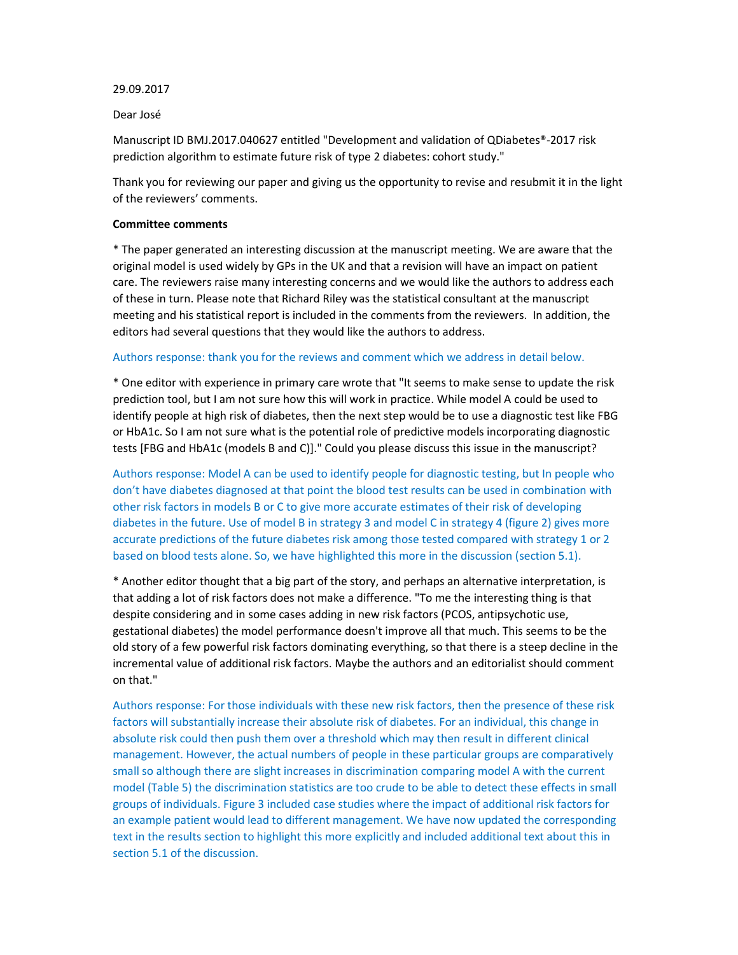### 29.09.2017

#### Dear José

Manuscript ID BMJ.2017.040627 entitled "Development and validation of QDiabetes®-2017 risk prediction algorithm to estimate future risk of type 2 diabetes: cohort study."

Thank you for reviewing our paper and giving us the opportunity to revise and resubmit it in the light of the reviewers' comments.

#### **Committee comments**

\* The paper generated an interesting discussion at the manuscript meeting. We are aware that the original model is used widely by GPs in the UK and that a revision will have an impact on patient care. The reviewers raise many interesting concerns and we would like the authors to address each of these in turn. Please note that Richard Riley was the statistical consultant at the manuscript meeting and his statistical report is included in the comments from the reviewers. In addition, the editors had several questions that they would like the authors to address.

# Authors response: thank you for the reviews and comment which we address in detail below.

\* One editor with experience in primary care wrote that "It seems to make sense to update the risk prediction tool, but I am not sure how this will work in practice. While model A could be used to identify people at high risk of diabetes, then the next step would be to use a diagnostic test like FBG or HbA1c. So I am not sure what is the potential role of predictive models incorporating diagnostic tests [FBG and HbA1c (models B and C)]." Could you please discuss this issue in the manuscript?

Authors response: Model A can be used to identify people for diagnostic testing, but In people who don't have diabetes diagnosed at that point the blood test results can be used in combination with other risk factors in models B or C to give more accurate estimates of their risk of developing diabetes in the future. Use of model B in strategy 3 and model C in strategy 4 (figure 2) gives more accurate predictions of the future diabetes risk among those tested compared with strategy 1 or 2 based on blood tests alone. So, we have highlighted this more in the discussion (section 5.1).

\* Another editor thought that a big part of the story, and perhaps an alternative interpretation, is that adding a lot of risk factors does not make a difference. "To me the interesting thing is that despite considering and in some cases adding in new risk factors (PCOS, antipsychotic use, gestational diabetes) the model performance doesn't improve all that much. This seems to be the old story of a few powerful risk factors dominating everything, so that there is a steep decline in the incremental value of additional risk factors. Maybe the authors and an editorialist should comment on that."

Authors response: For those individuals with these new risk factors, then the presence of these risk factors will substantially increase their absolute risk of diabetes. For an individual, this change in absolute risk could then push them over a threshold which may then result in different clinical management. However, the actual numbers of people in these particular groups are comparatively small so although there are slight increases in discrimination comparing model A with the current model (Table 5) the discrimination statistics are too crude to be able to detect these effects in small groups of individuals. Figure 3 included case studies where the impact of additional risk factors for an example patient would lead to different management. We have now updated the corresponding text in the results section to highlight this more explicitly and included additional text about this in section 5.1 of the discussion.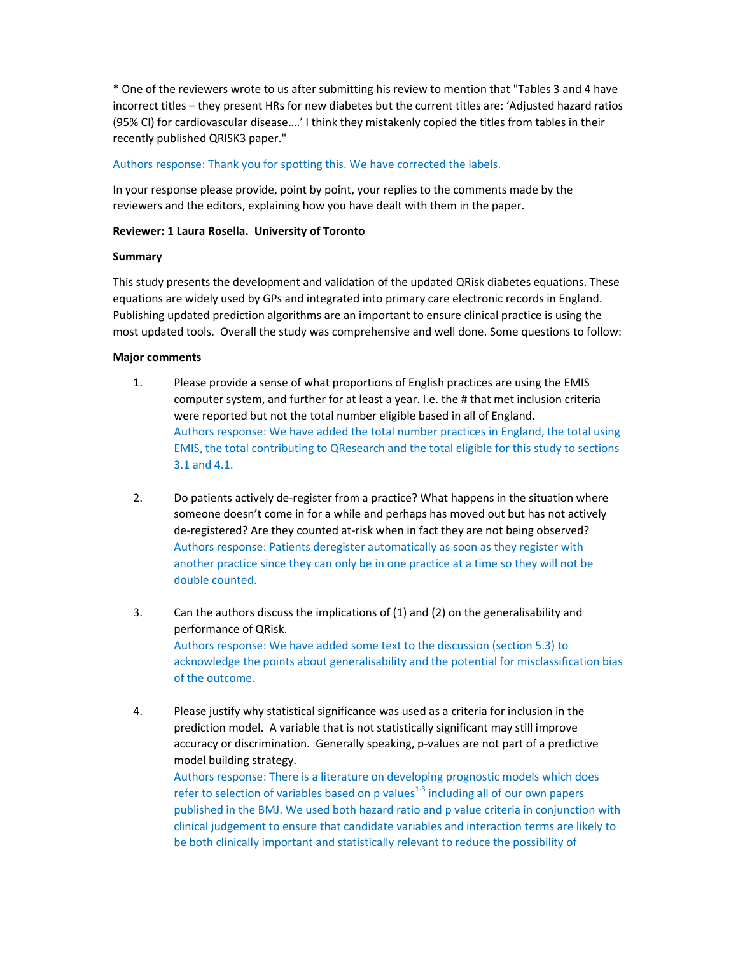\* One of the reviewers wrote to us after submitting his review to mention that "Tables 3 and 4 have incorrect titles – they present HRs for new diabetes but the current titles are: 'Adjusted hazard ratios (95% CI) for cardiovascular disease….' I think they mistakenly copied the titles from tables in their recently published QRISK3 paper."

# Authors response: Thank you for spotting this. We have corrected the labels.

In your response please provide, point by point, your replies to the comments made by the reviewers and the editors, explaining how you have dealt with them in the paper.

# **Reviewer: 1 Laura Rosella. University of Toronto**

# **Summary**

This study presents the development and validation of the updated QRisk diabetes equations. These equations are widely used by GPs and integrated into primary care electronic records in England. Publishing updated prediction algorithms are an important to ensure clinical practice is using the most updated tools. Overall the study was comprehensive and well done. Some questions to follow:

# **Major comments**

- 1. Please provide a sense of what proportions of English practices are using the EMIS computer system, and further for at least a year. I.e. the # that met inclusion criteria were reported but not the total number eligible based in all of England. Authors response: We have added the total number practices in England, the total using EMIS, the total contributing to QResearch and the total eligible for this study to sections 3.1 and 4.1.
- 2. Do patients actively de-register from a practice? What happens in the situation where someone doesn't come in for a while and perhaps has moved out but has not actively de-registered? Are they counted at-risk when in fact they are not being observed? Authors response: Patients deregister automatically as soon as they register with another practice since they can only be in one practice at a time so they will not be double counted.
- 3. Can the authors discuss the implications of (1) and (2) on the generalisability and performance of QRisk. Authors response: We have added some text to the discussion (section 5.3) to acknowledge the points about generalisability and the potential for misclassification bias of the outcome.
- 4. Please justify why statistical significance was used as a criteria for inclusion in the prediction model. A variable that is not statistically significant may still improve accuracy or discrimination. Generally speaking, p-values are not part of a predictive model building strategy.

Authors response: There is a literature on developing prognostic models which does refer to selection of variables based on  $p$  values<sup>1-3</sup> including all of our own papers published in the BMJ. We used both hazard ratio and p value criteria in conjunction with clinical judgement to ensure that candidate variables and interaction terms are likely to be both clinically important and statistically relevant to reduce the possibility of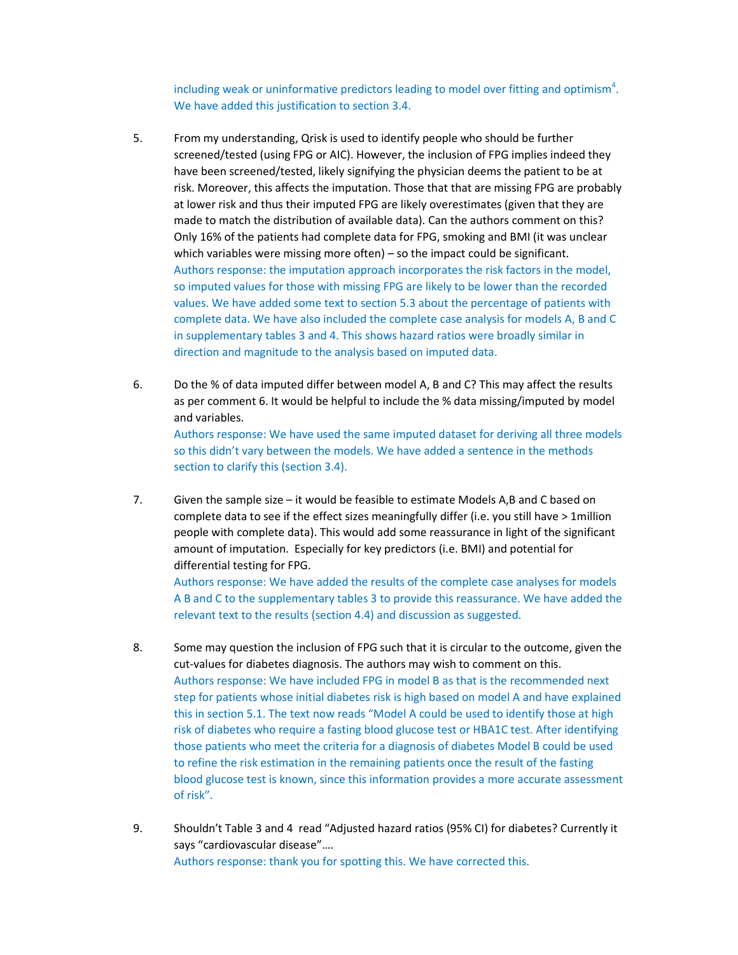including weak or uninformative predictors leading to model over fitting and optimism<sup>4</sup>. We have added this justification to section 3.4.

- 5. From my understanding, Qrisk is used to identify people who should be further screened/tested (using FPG or AIC). However, the inclusion of FPG implies indeed they have been screened/tested, likely signifying the physician deems the patient to be at risk. Moreover, this affects the imputation. Those that that are missing FPG are probably at lower risk and thus their imputed FPG are likely overestimates (given that they are made to match the distribution of available data). Can the authors comment on this? Only 16% of the patients had complete data for FPG, smoking and BMI (it was unclear which variables were missing more often) – so the impact could be significant. Authors response: the imputation approach incorporates the risk factors in the model, so imputed values for those with missing FPG are likely to be lower than the recorded values. We have added some text to section 5.3 about the percentage of patients with complete data. We have also included the complete case analysis for models A, B and C in supplementary tables 3 and 4. This shows hazard ratios were broadly similar in direction and magnitude to the analysis based on imputed data.
- 6. Do the % of data imputed differ between model A, B and C? This may affect the results as per comment 6. It would be helpful to include the % data missing/imputed by model and variables.

Authors response: We have used the same imputed dataset for deriving all three models so this didn't vary between the models. We have added a sentence in the methods section to clarify this (section 3.4).

7. Given the sample size – it would be feasible to estimate Models A,B and C based on complete data to see if the effect sizes meaningfully differ (i.e. you still have > 1million people with complete data). This would add some reassurance in light of the significant amount of imputation. Especially for key predictors (i.e. BMI) and potential for differential testing for FPG.

Authors response: We have added the results of the complete case analyses for models A B and C to the supplementary tables 3 to provide this reassurance. We have added the relevant text to the results (section 4.4) and discussion as suggested.

- 8. Some may question the inclusion of FPG such that it is circular to the outcome, given the cut-values for diabetes diagnosis. The authors may wish to comment on this. Authors response: We have included FPG in model B as that is the recommended next step for patients whose initial diabetes risk is high based on model A and have explained this in section 5.1. The text now reads "Model A could be used to identify those at high risk of diabetes who require a fasting blood glucose test or HBA1C test. After identifying those patients who meet the criteria for a diagnosis of diabetes Model B could be used to refine the risk estimation in the remaining patients once the result of the fasting blood glucose test is known, since this information provides a more accurate assessment of risk".
- 9. Shouldn't Table 3 and 4 read "Adjusted hazard ratios (95% CI) for diabetes? Currently it says "cardiovascular disease"…. Authors response: thank you for spotting this. We have corrected this.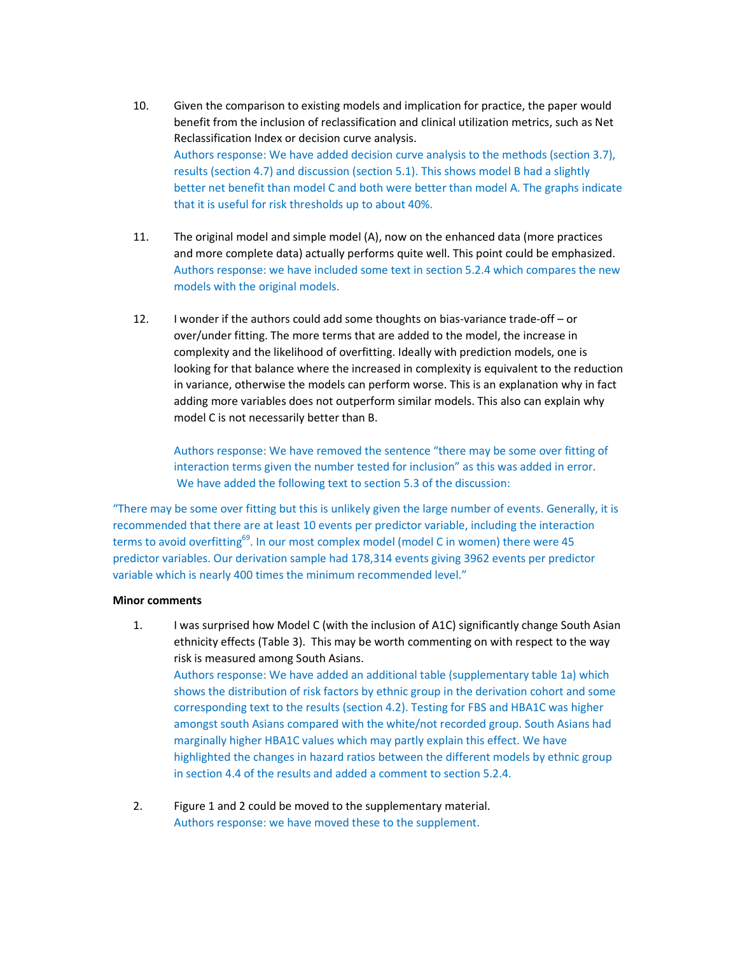- 10. Given the comparison to existing models and implication for practice, the paper would benefit from the inclusion of reclassification and clinical utilization metrics, such as Net Reclassification Index or decision curve analysis. Authors response: We have added decision curve analysis to the methods (section 3.7), results (section 4.7) and discussion (section 5.1). This shows model B had a slightly better net benefit than model C and both were better than model A. The graphs indicate that it is useful for risk thresholds up to about 40%.
- 11. The original model and simple model (A), now on the enhanced data (more practices and more complete data) actually performs quite well. This point could be emphasized. Authors response: we have included some text in section 5.2.4 which compares the new models with the original models.
- 12. I wonder if the authors could add some thoughts on bias-variance trade-off or over/under fitting. The more terms that are added to the model, the increase in complexity and the likelihood of overfitting. Ideally with prediction models, one is looking for that balance where the increased in complexity is equivalent to the reduction in variance, otherwise the models can perform worse. This is an explanation why in fact adding more variables does not outperform similar models. This also can explain why model C is not necessarily better than B.

Authors response: We have removed the sentence "there may be some over fitting of interaction terms given the number tested for inclusion" as this was added in error. We have added the following text to section 5.3 of the discussion:

"There may be some over fitting but this is unlikely given the large number of events. Generally, it is recommended that there are at least 10 events per predictor variable, including the interaction terms to avoid overfitting<sup>69</sup>. In our most complex model (model C in women) there were 45 predictor variables. Our derivation sample had 178,314 events giving 3962 events per predictor variable which is nearly 400 times the minimum recommended level."

## **Minor comments**

- 1. I was surprised how Model C (with the inclusion of A1C) significantly change South Asian ethnicity effects (Table 3). This may be worth commenting on with respect to the way risk is measured among South Asians. Authors response: We have added an additional table (supplementary table 1a) which shows the distribution of risk factors by ethnic group in the derivation cohort and some corresponding text to the results (section 4.2). Testing for FBS and HBA1C was higher amongst south Asians compared with the white/not recorded group. South Asians had marginally higher HBA1C values which may partly explain this effect. We have highlighted the changes in hazard ratios between the different models by ethnic group in section 4.4 of the results and added a comment to section 5.2.4.
- 2. Figure 1 and 2 could be moved to the supplementary material. Authors response: we have moved these to the supplement.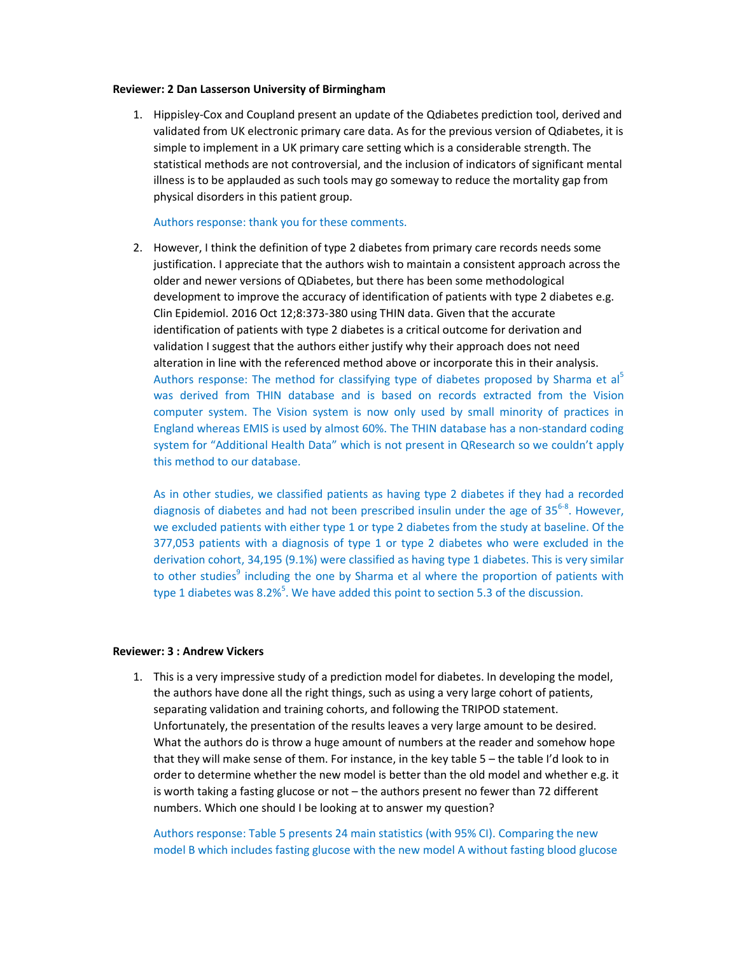#### **Reviewer: 2 Dan Lasserson University of Birmingham**

1. Hippisley-Cox and Coupland present an update of the Qdiabetes prediction tool, derived and validated from UK electronic primary care data. As for the previous version of Qdiabetes, it is simple to implement in a UK primary care setting which is a considerable strength. The statistical methods are not controversial, and the inclusion of indicators of significant mental illness is to be applauded as such tools may go someway to reduce the mortality gap from physical disorders in this patient group.

#### Authors response: thank you for these comments.

2. However, I think the definition of type 2 diabetes from primary care records needs some justification. I appreciate that the authors wish to maintain a consistent approach across the older and newer versions of QDiabetes, but there has been some methodological development to improve the accuracy of identification of patients with type 2 diabetes e.g. Clin Epidemiol. 2016 Oct 12;8:373-380 using THIN data. Given that the accurate identification of patients with type 2 diabetes is a critical outcome for derivation and validation I suggest that the authors either justify why their approach does not need alteration in line with the referenced method above or incorporate this in their analysis. Authors response: The method for classifying type of diabetes proposed by Sharma et al<sup>5</sup> was derived from THIN database and is based on records extracted from the Vision computer system. The Vision system is now only used by small minority of practices in England whereas EMIS is used by almost 60%. The THIN database has a non-standard coding system for "Additional Health Data" which is not present in QResearch so we couldn't apply this method to our database.

As in other studies, we classified patients as having type 2 diabetes if they had a recorded diagnosis of diabetes and had not been prescribed insulin under the age of 35<sup>6-8</sup>. However, we excluded patients with either type 1 or type 2 diabetes from the study at baseline. Of the 377,053 patients with a diagnosis of type 1 or type 2 diabetes who were excluded in the derivation cohort, 34,195 (9.1%) were classified as having type 1 diabetes. This is very similar to other studies<sup>9</sup> including the one by Sharma et al where the proportion of patients with type 1 diabetes was 8.2%<sup>5</sup>. We have added this point to section 5.3 of the discussion.

## **Reviewer: 3 : Andrew Vickers**

1. This is a very impressive study of a prediction model for diabetes. In developing the model, the authors have done all the right things, such as using a very large cohort of patients, separating validation and training cohorts, and following the TRIPOD statement. Unfortunately, the presentation of the results leaves a very large amount to be desired. What the authors do is throw a huge amount of numbers at the reader and somehow hope that they will make sense of them. For instance, in the key table 5 – the table I'd look to in order to determine whether the new model is better than the old model and whether e.g. it is worth taking a fasting glucose or not – the authors present no fewer than 72 different numbers. Which one should I be looking at to answer my question?

Authors response: Table 5 presents 24 main statistics (with 95% CI). Comparing the new model B which includes fasting glucose with the new model A without fasting blood glucose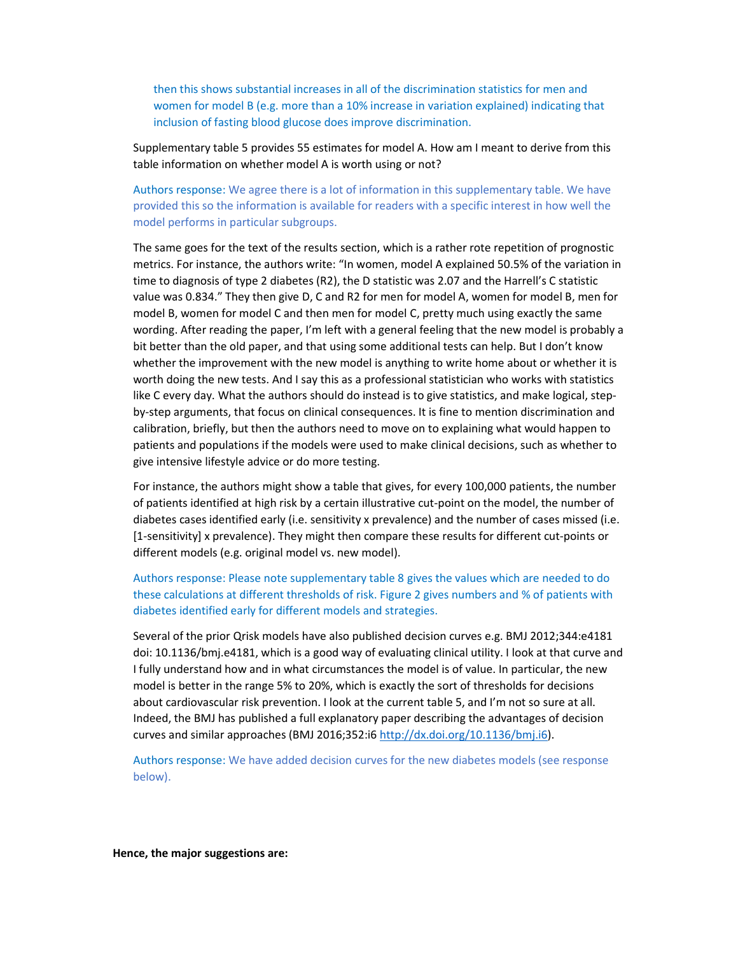then this shows substantial increases in all of the discrimination statistics for men and women for model B (e.g. more than a 10% increase in variation explained) indicating that inclusion of fasting blood glucose does improve discrimination.

Supplementary table 5 provides 55 estimates for model A. How am I meant to derive from this table information on whether model A is worth using or not?

Authors response: We agree there is a lot of information in this supplementary table. We have provided this so the information is available for readers with a specific interest in how well the model performs in particular subgroups.

The same goes for the text of the results section, which is a rather rote repetition of prognostic metrics. For instance, the authors write: "In women, model A explained 50.5% of the variation in time to diagnosis of type 2 diabetes (R2), the D statistic was 2.07 and the Harrell's C statistic value was 0.834." They then give D, C and R2 for men for model A, women for model B, men for model B, women for model C and then men for model C, pretty much using exactly the same wording. After reading the paper, I'm left with a general feeling that the new model is probably a bit better than the old paper, and that using some additional tests can help. But I don't know whether the improvement with the new model is anything to write home about or whether it is worth doing the new tests. And I say this as a professional statistician who works with statistics like C every day. What the authors should do instead is to give statistics, and make logical, stepby-step arguments, that focus on clinical consequences. It is fine to mention discrimination and calibration, briefly, but then the authors need to move on to explaining what would happen to patients and populations if the models were used to make clinical decisions, such as whether to give intensive lifestyle advice or do more testing.

For instance, the authors might show a table that gives, for every 100,000 patients, the number of patients identified at high risk by a certain illustrative cut-point on the model, the number of diabetes cases identified early (i.e. sensitivity x prevalence) and the number of cases missed (i.e. [1-sensitivity] x prevalence). They might then compare these results for different cut-points or different models (e.g. original model vs. new model).

Authors response: Please note supplementary table 8 gives the values which are needed to do these calculations at different thresholds of risk. Figure 2 gives numbers and % of patients with diabetes identified early for different models and strategies.

Several of the prior Qrisk models have also published decision curves e.g. BMJ 2012;344:e4181 doi: 10.1136/bmj.e4181, which is a good way of evaluating clinical utility. I look at that curve and I fully understand how and in what circumstances the model is of value. In particular, the new model is better in the range 5% to 20%, which is exactly the sort of thresholds for decisions about cardiovascular risk prevention. I look at the current table 5, and I'm not so sure at all. Indeed, the BMJ has published a full explanatory paper describing the advantages of decision curves and similar approaches (BMJ 2016;352:i6 http://dx.doi.org/10.1136/bmj.i6).

Authors response: We have added decision curves for the new diabetes models (see response below).

**Hence, the major suggestions are:**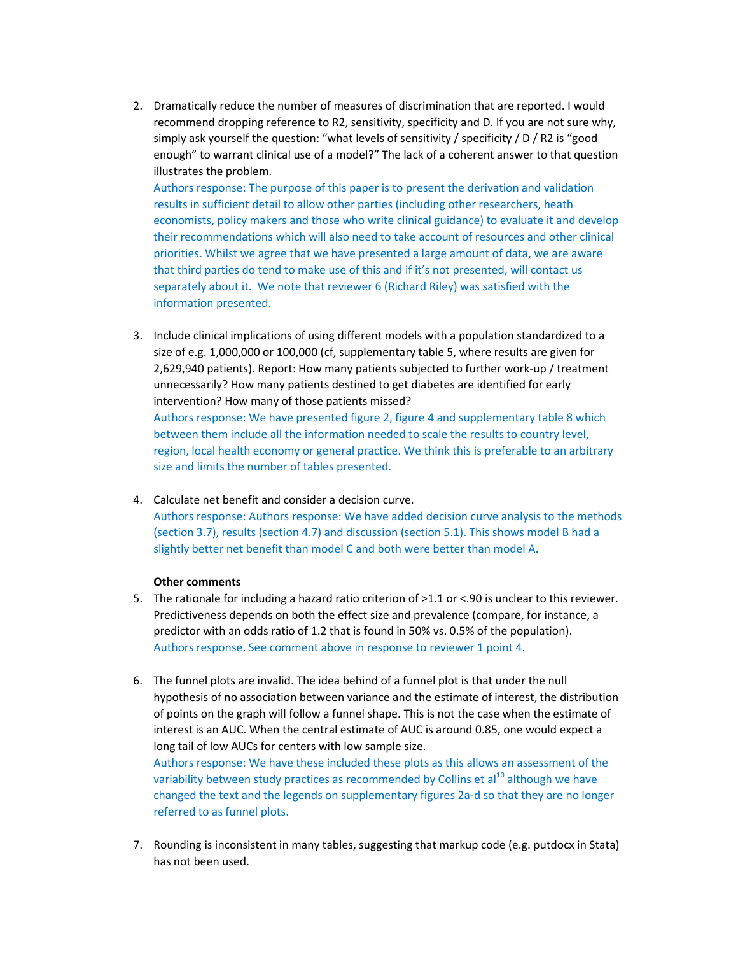2. Dramatically reduce the number of measures of discrimination that are reported. I would recommend dropping reference to R2, sensitivity, specificity and D. If you are not sure why, simply ask yourself the question: "what levels of sensitivity / specificity / D / R2 is "good enough" to warrant clinical use of a model?" The lack of a coherent answer to that question illustrates the problem.

Authors response: The purpose of this paper is to present the derivation and validation results in sufficient detail to allow other parties (including other researchers, heath economists, policy makers and those who write clinical guidance) to evaluate it and develop their recommendations which will also need to take account of resources and other clinical priorities. Whilst we agree that we have presented a large amount of data, we are aware that third parties do tend to make use of this and if it's not presented, will contact us separately about it. We note that reviewer 6 (Richard Riley) was satisfied with the information presented.

- 3. Include clinical implications of using different models with a population standardized to a size of e.g. 1,000,000 or 100,000 (cf, supplementary table 5, where results are given for 2,629,940 patients). Report: How many patients subjected to further work-up / treatment unnecessarily? How many patients destined to get diabetes are identified for early intervention? How many of those patients missed? Authors response: We have presented figure 2, figure 4 and supplementary table 8 which between them include all the information needed to scale the results to country level, region, local health economy or general practice. We think this is preferable to an arbitrary size and limits the number of tables presented.
- 4. Calculate net benefit and consider a decision curve. Authors response: Authors response: We have added decision curve analysis to the methods (section 3.7), results (section 4.7) and discussion (section 5.1). This shows model B had a slightly better net benefit than model C and both were better than model A.

## **Other comments**

- 5. The rationale for including a hazard ratio criterion of >1.1 or <.90 is unclear to this reviewer. Predictiveness depends on both the effect size and prevalence (compare, for instance, a predictor with an odds ratio of 1.2 that is found in 50% vs. 0.5% of the population). Authors response. See comment above in response to reviewer 1 point 4.
- 6. The funnel plots are invalid. The idea behind of a funnel plot is that under the null hypothesis of no association between variance and the estimate of interest, the distribution of points on the graph will follow a funnel shape. This is not the case when the estimate of interest is an AUC. When the central estimate of AUC is around 0.85, one would expect a long tail of low AUCs for centers with low sample size.

Authors response: We have these included these plots as this allows an assessment of the variability between study practices as recommended by Collins et  $a^{10}$  although we have changed the text and the legends on supplementary figures 2a-d so that they are no longer referred to as funnel plots.

7. Rounding is inconsistent in many tables, suggesting that markup code (e.g. putdocx in Stata) has not been used.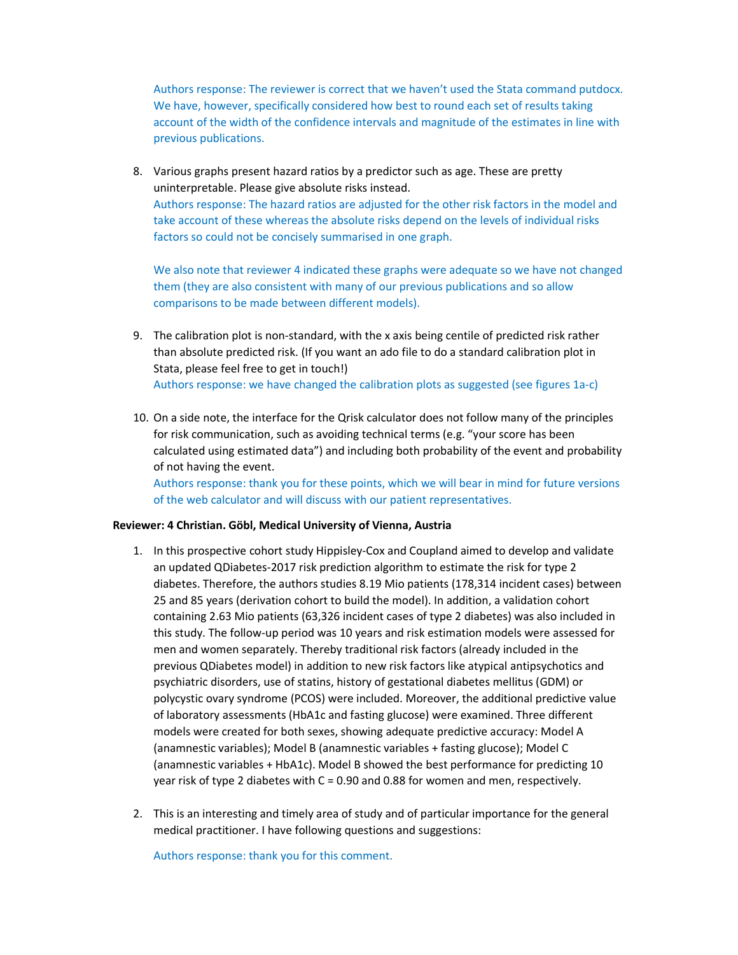Authors response: The reviewer is correct that we haven't used the Stata command putdocx. We have, however, specifically considered how best to round each set of results taking account of the width of the confidence intervals and magnitude of the estimates in line with previous publications.

8. Various graphs present hazard ratios by a predictor such as age. These are pretty uninterpretable. Please give absolute risks instead. Authors response: The hazard ratios are adjusted for the other risk factors in the model and take account of these whereas the absolute risks depend on the levels of individual risks factors so could not be concisely summarised in one graph.

We also note that reviewer 4 indicated these graphs were adequate so we have not changed them (they are also consistent with many of our previous publications and so allow comparisons to be made between different models).

- 9. The calibration plot is non-standard, with the x axis being centile of predicted risk rather than absolute predicted risk. (If you want an ado file to do a standard calibration plot in Stata, please feel free to get in touch!) Authors response: we have changed the calibration plots as suggested (see figures 1a-c)
- 10. On a side note, the interface for the Qrisk calculator does not follow many of the principles for risk communication, such as avoiding technical terms (e.g. "your score has been calculated using estimated data") and including both probability of the event and probability of not having the event.

Authors response: thank you for these points, which we will bear in mind for future versions of the web calculator and will discuss with our patient representatives.

## **Reviewer: 4 Christian. Göbl, Medical University of Vienna, Austria**

- 1. In this prospective cohort study Hippisley-Cox and Coupland aimed to develop and validate an updated QDiabetes-2017 risk prediction algorithm to estimate the risk for type 2 diabetes. Therefore, the authors studies 8.19 Mio patients (178,314 incident cases) between 25 and 85 years (derivation cohort to build the model). In addition, a validation cohort containing 2.63 Mio patients (63,326 incident cases of type 2 diabetes) was also included in this study. The follow-up period was 10 years and risk estimation models were assessed for men and women separately. Thereby traditional risk factors (already included in the previous QDiabetes model) in addition to new risk factors like atypical antipsychotics and psychiatric disorders, use of statins, history of gestational diabetes mellitus (GDM) or polycystic ovary syndrome (PCOS) were included. Moreover, the additional predictive value of laboratory assessments (HbA1c and fasting glucose) were examined. Three different models were created for both sexes, showing adequate predictive accuracy: Model A (anamnestic variables); Model B (anamnestic variables + fasting glucose); Model C (anamnestic variables + HbA1c). Model B showed the best performance for predicting 10 year risk of type 2 diabetes with C = 0.90 and 0.88 for women and men, respectively.
- 2. This is an interesting and timely area of study and of particular importance for the general medical practitioner. I have following questions and suggestions:

Authors response: thank you for this comment.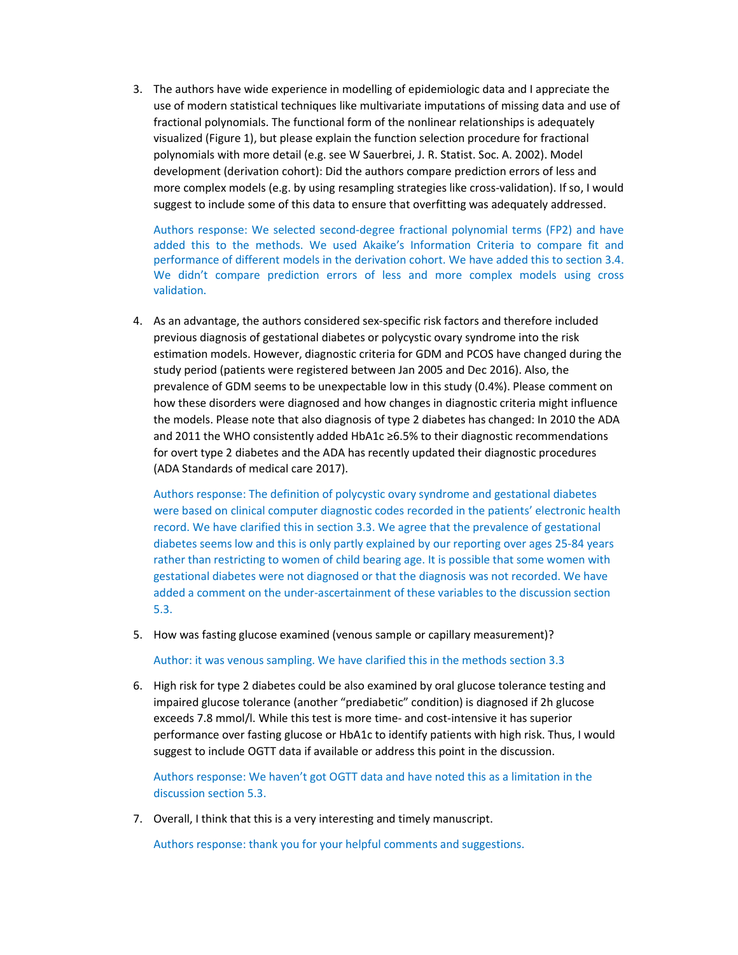3. The authors have wide experience in modelling of epidemiologic data and I appreciate the use of modern statistical techniques like multivariate imputations of missing data and use of fractional polynomials. The functional form of the nonlinear relationships is adequately visualized (Figure 1), but please explain the function selection procedure for fractional polynomials with more detail (e.g. see W Sauerbrei, J. R. Statist. Soc. A. 2002). Model development (derivation cohort): Did the authors compare prediction errors of less and more complex models (e.g. by using resampling strategies like cross-validation). If so, I would suggest to include some of this data to ensure that overfitting was adequately addressed.

Authors response: We selected second-degree fractional polynomial terms (FP2) and have added this to the methods. We used Akaike's Information Criteria to compare fit and performance of different models in the derivation cohort. We have added this to section 3.4. We didn't compare prediction errors of less and more complex models using cross validation.

4. As an advantage, the authors considered sex-specific risk factors and therefore included previous diagnosis of gestational diabetes or polycystic ovary syndrome into the risk estimation models. However, diagnostic criteria for GDM and PCOS have changed during the study period (patients were registered between Jan 2005 and Dec 2016). Also, the prevalence of GDM seems to be unexpectable low in this study (0.4%). Please comment on how these disorders were diagnosed and how changes in diagnostic criteria might influence the models. Please note that also diagnosis of type 2 diabetes has changed: In 2010 the ADA and 2011 the WHO consistently added HbA1c ≥6.5% to their diagnostic recommendations for overt type 2 diabetes and the ADA has recently updated their diagnostic procedures (ADA Standards of medical care 2017).

Authors response: The definition of polycystic ovary syndrome and gestational diabetes were based on clinical computer diagnostic codes recorded in the patients' electronic health record. We have clarified this in section 3.3. We agree that the prevalence of gestational diabetes seems low and this is only partly explained by our reporting over ages 25-84 years rather than restricting to women of child bearing age. It is possible that some women with gestational diabetes were not diagnosed or that the diagnosis was not recorded. We have added a comment on the under-ascertainment of these variables to the discussion section 5.3.

5. How was fasting glucose examined (venous sample or capillary measurement)?

Author: it was venous sampling. We have clarified this in the methods section 3.3

6. High risk for type 2 diabetes could be also examined by oral glucose tolerance testing and impaired glucose tolerance (another "prediabetic" condition) is diagnosed if 2h glucose exceeds 7.8 mmol/l. While this test is more time- and cost-intensive it has superior performance over fasting glucose or HbA1c to identify patients with high risk. Thus, I would suggest to include OGTT data if available or address this point in the discussion.

Authors response: We haven't got OGTT data and have noted this as a limitation in the discussion section 5.3.

7. Overall, I think that this is a very interesting and timely manuscript.

Authors response: thank you for your helpful comments and suggestions.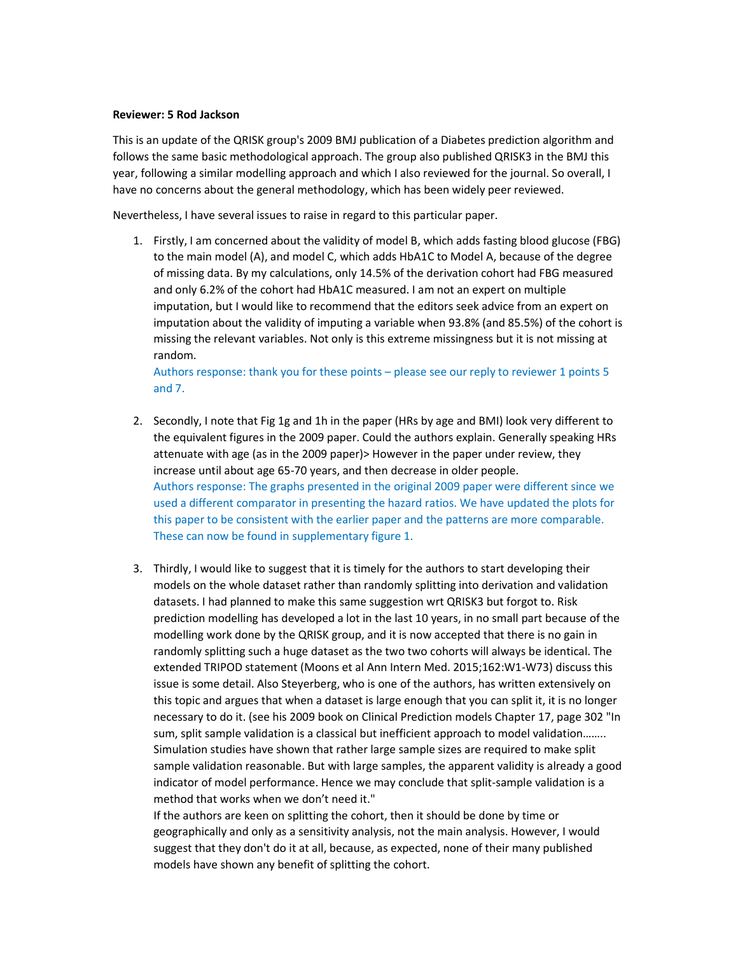## **Reviewer: 5 Rod Jackson**

This is an update of the QRISK group's 2009 BMJ publication of a Diabetes prediction algorithm and follows the same basic methodological approach. The group also published QRISK3 in the BMJ this year, following a similar modelling approach and which I also reviewed for the journal. So overall, I have no concerns about the general methodology, which has been widely peer reviewed.

Nevertheless, I have several issues to raise in regard to this particular paper.

1. Firstly, I am concerned about the validity of model B, which adds fasting blood glucose (FBG) to the main model (A), and model C, which adds HbA1C to Model A, because of the degree of missing data. By my calculations, only 14.5% of the derivation cohort had FBG measured and only 6.2% of the cohort had HbA1C measured. I am not an expert on multiple imputation, but I would like to recommend that the editors seek advice from an expert on imputation about the validity of imputing a variable when 93.8% (and 85.5%) of the cohort is missing the relevant variables. Not only is this extreme missingness but it is not missing at random.

Authors response: thank you for these points – please see our reply to reviewer 1 points 5 and 7.

- 2. Secondly, I note that Fig 1g and 1h in the paper (HRs by age and BMI) look very different to the equivalent figures in the 2009 paper. Could the authors explain. Generally speaking HRs attenuate with age (as in the 2009 paper)> However in the paper under review, they increase until about age 65-70 years, and then decrease in older people. Authors response: The graphs presented in the original 2009 paper were different since we used a different comparator in presenting the hazard ratios. We have updated the plots for this paper to be consistent with the earlier paper and the patterns are more comparable. These can now be found in supplementary figure 1.
- 3. Thirdly, I would like to suggest that it is timely for the authors to start developing their models on the whole dataset rather than randomly splitting into derivation and validation datasets. I had planned to make this same suggestion wrt QRISK3 but forgot to. Risk prediction modelling has developed a lot in the last 10 years, in no small part because of the modelling work done by the QRISK group, and it is now accepted that there is no gain in randomly splitting such a huge dataset as the two two cohorts will always be identical. The extended TRIPOD statement (Moons et al Ann Intern Med. 2015;162:W1-W73) discuss this issue is some detail. Also Steyerberg, who is one of the authors, has written extensively on this topic and argues that when a dataset is large enough that you can split it, it is no longer necessary to do it. (see his 2009 book on Clinical Prediction models Chapter 17, page 302 "In sum, split sample validation is a classical but inefficient approach to model validation…….. Simulation studies have shown that rather large sample sizes are required to make split sample validation reasonable. But with large samples, the apparent validity is already a good indicator of model performance. Hence we may conclude that split-sample validation is a method that works when we don't need it."

If the authors are keen on splitting the cohort, then it should be done by time or geographically and only as a sensitivity analysis, not the main analysis. However, I would suggest that they don't do it at all, because, as expected, none of their many published models have shown any benefit of splitting the cohort.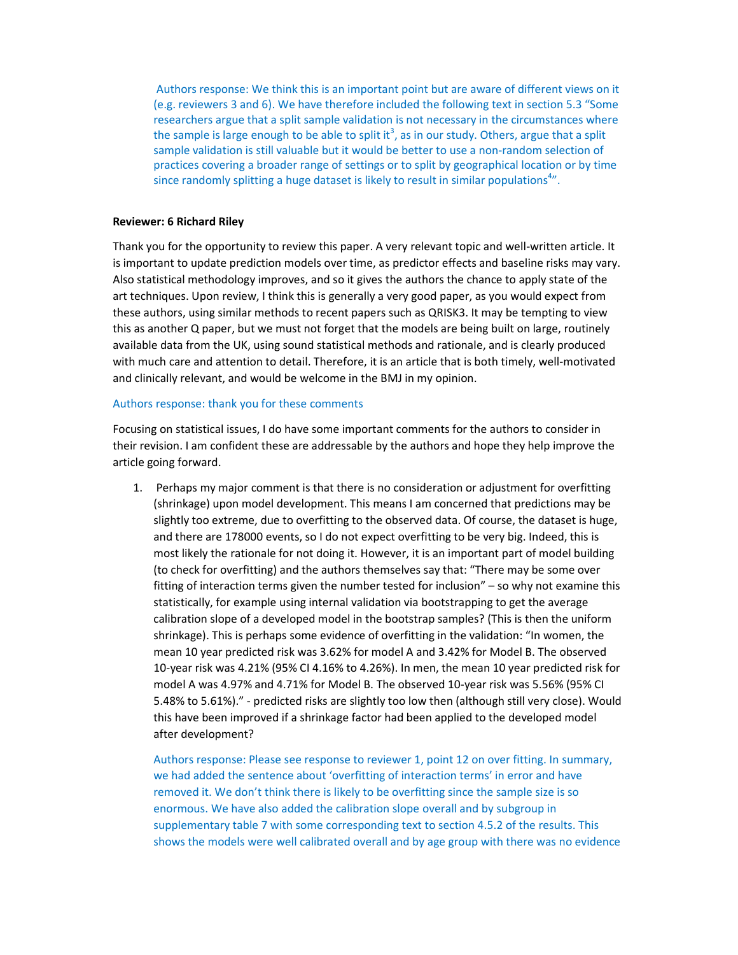Authors response: We think this is an important point but are aware of different views on it (e.g. reviewers 3 and 6). We have therefore included the following text in section 5.3 "Some researchers argue that a split sample validation is not necessary in the circumstances where the sample is large enough to be able to split it<sup>3</sup>, as in our study. Others, argue that a split sample validation is still valuable but it would be better to use a non-random selection of practices covering a broader range of settings or to split by geographical location or by time since randomly splitting a huge dataset is likely to result in similar populations<sup>4</sup>".

## **Reviewer: 6 Richard Riley**

Thank you for the opportunity to review this paper. A very relevant topic and well-written article. It is important to update prediction models over time, as predictor effects and baseline risks may vary. Also statistical methodology improves, and so it gives the authors the chance to apply state of the art techniques. Upon review, I think this is generally a very good paper, as you would expect from these authors, using similar methods to recent papers such as QRISK3. It may be tempting to view this as another Q paper, but we must not forget that the models are being built on large, routinely available data from the UK, using sound statistical methods and rationale, and is clearly produced with much care and attention to detail. Therefore, it is an article that is both timely, well-motivated and clinically relevant, and would be welcome in the BMJ in my opinion.

# Authors response: thank you for these comments

Focusing on statistical issues, I do have some important comments for the authors to consider in their revision. I am confident these are addressable by the authors and hope they help improve the article going forward.

1. Perhaps my major comment is that there is no consideration or adjustment for overfitting (shrinkage) upon model development. This means I am concerned that predictions may be slightly too extreme, due to overfitting to the observed data. Of course, the dataset is huge, and there are 178000 events, so I do not expect overfitting to be very big. Indeed, this is most likely the rationale for not doing it. However, it is an important part of model building (to check for overfitting) and the authors themselves say that: "There may be some over fitting of interaction terms given the number tested for inclusion" – so why not examine this statistically, for example using internal validation via bootstrapping to get the average calibration slope of a developed model in the bootstrap samples? (This is then the uniform shrinkage). This is perhaps some evidence of overfitting in the validation: "In women, the mean 10 year predicted risk was 3.62% for model A and 3.42% for Model B. The observed 10-year risk was 4.21% (95% CI 4.16% to 4.26%). In men, the mean 10 year predicted risk for model A was 4.97% and 4.71% for Model B. The observed 10-year risk was 5.56% (95% CI 5.48% to 5.61%)." - predicted risks are slightly too low then (although still very close). Would this have been improved if a shrinkage factor had been applied to the developed model after development?

Authors response: Please see response to reviewer 1, point 12 on over fitting. In summary, we had added the sentence about 'overfitting of interaction terms' in error and have removed it. We don't think there is likely to be overfitting since the sample size is so enormous. We have also added the calibration slope overall and by subgroup in supplementary table 7 with some corresponding text to section 4.5.2 of the results. This shows the models were well calibrated overall and by age group with there was no evidence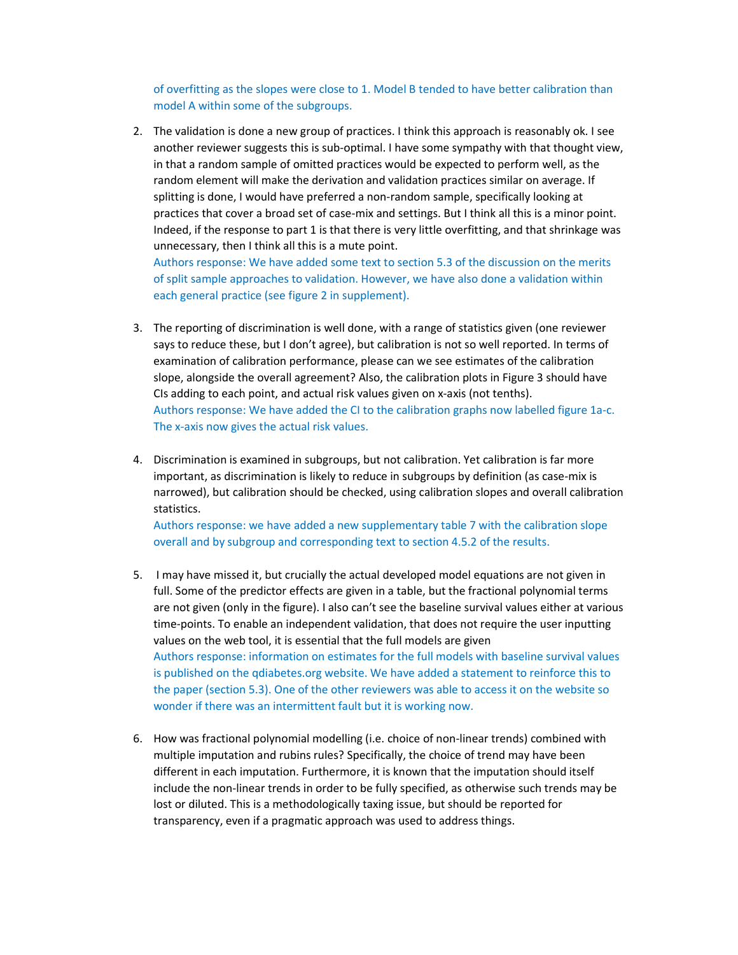of overfitting as the slopes were close to 1. Model B tended to have better calibration than model A within some of the subgroups.

2. The validation is done a new group of practices. I think this approach is reasonably ok. I see another reviewer suggests this is sub-optimal. I have some sympathy with that thought view, in that a random sample of omitted practices would be expected to perform well, as the random element will make the derivation and validation practices similar on average. If splitting is done, I would have preferred a non-random sample, specifically looking at practices that cover a broad set of case-mix and settings. But I think all this is a minor point. Indeed, if the response to part 1 is that there is very little overfitting, and that shrinkage was unnecessary, then I think all this is a mute point.

Authors response: We have added some text to section 5.3 of the discussion on the merits of split sample approaches to validation. However, we have also done a validation within each general practice (see figure 2 in supplement).

- 3. The reporting of discrimination is well done, with a range of statistics given (one reviewer says to reduce these, but I don't agree), but calibration is not so well reported. In terms of examination of calibration performance, please can we see estimates of the calibration slope, alongside the overall agreement? Also, the calibration plots in Figure 3 should have CIs adding to each point, and actual risk values given on x-axis (not tenths). Authors response: We have added the CI to the calibration graphs now labelled figure 1a-c. The x-axis now gives the actual risk values.
- 4. Discrimination is examined in subgroups, but not calibration. Yet calibration is far more important, as discrimination is likely to reduce in subgroups by definition (as case-mix is narrowed), but calibration should be checked, using calibration slopes and overall calibration statistics.

Authors response: we have added a new supplementary table 7 with the calibration slope overall and by subgroup and corresponding text to section 4.5.2 of the results.

- 5. I may have missed it, but crucially the actual developed model equations are not given in full. Some of the predictor effects are given in a table, but the fractional polynomial terms are not given (only in the figure). I also can't see the baseline survival values either at various time-points. To enable an independent validation, that does not require the user inputting values on the web tool, it is essential that the full models are given Authors response: information on estimates for the full models with baseline survival values is published on the qdiabetes.org website. We have added a statement to reinforce this to the paper (section 5.3). One of the other reviewers was able to access it on the website so wonder if there was an intermittent fault but it is working now.
- 6. How was fractional polynomial modelling (i.e. choice of non-linear trends) combined with multiple imputation and rubins rules? Specifically, the choice of trend may have been different in each imputation. Furthermore, it is known that the imputation should itself include the non-linear trends in order to be fully specified, as otherwise such trends may be lost or diluted. This is a methodologically taxing issue, but should be reported for transparency, even if a pragmatic approach was used to address things.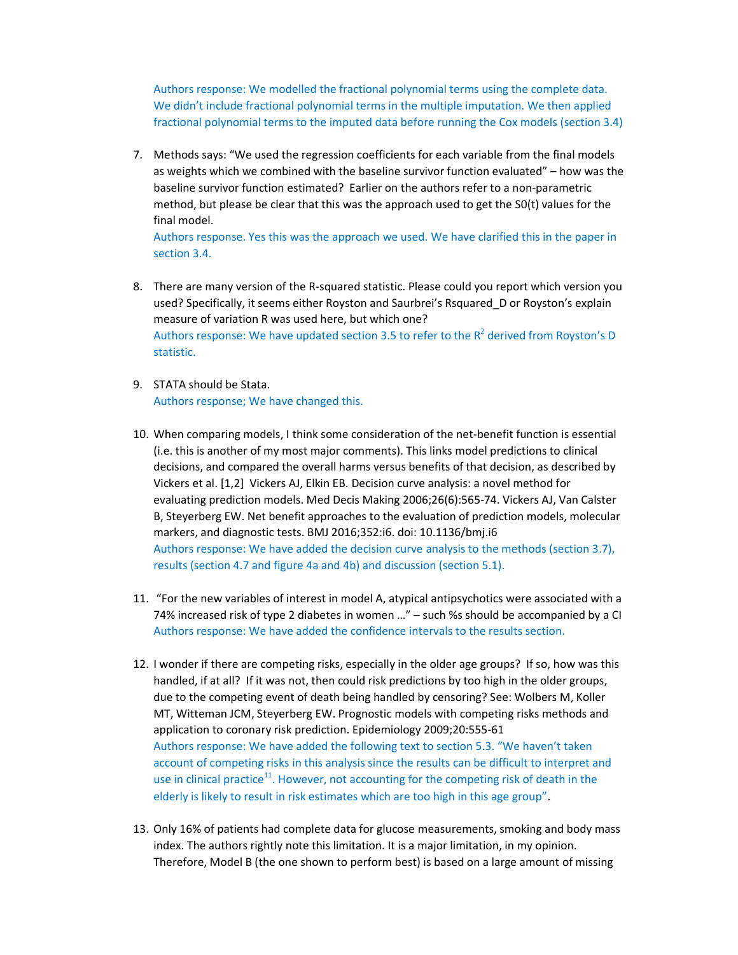Authors response: We modelled the fractional polynomial terms using the complete data. We didn't include fractional polynomial terms in the multiple imputation. We then applied fractional polynomial terms to the imputed data before running the Cox models (section 3.4)

7. Methods says: "We used the regression coefficients for each variable from the final models as weights which we combined with the baseline survivor function evaluated" – how was the baseline survivor function estimated? Earlier on the authors refer to a non-parametric method, but please be clear that this was the approach used to get the S0(t) values for the final model.

Authors response. Yes this was the approach we used. We have clarified this in the paper in section 3.4.

- 8. There are many version of the R-squared statistic. Please could you report which version you used? Specifically, it seems either Royston and Saurbrei's Rsquared\_D or Royston's explain measure of variation R was used here, but which one? Authors response: We have updated section 3.5 to refer to the  $R^2$  derived from Royston's D statistic.
- 9. STATA should be Stata. Authors response; We have changed this.
- 10. When comparing models, I think some consideration of the net-benefit function is essential (i.e. this is another of my most major comments). This links model predictions to clinical decisions, and compared the overall harms versus benefits of that decision, as described by Vickers et al. [1,2] Vickers AJ, Elkin EB. Decision curve analysis: a novel method for evaluating prediction models. Med Decis Making 2006;26(6):565-74. Vickers AJ, Van Calster B, Steyerberg EW. Net benefit approaches to the evaluation of prediction models, molecular markers, and diagnostic tests. BMJ 2016;352:i6. doi: 10.1136/bmj.i6 Authors response: We have added the decision curve analysis to the methods (section 3.7), results (section 4.7 and figure 4a and 4b) and discussion (section 5.1).
- 11. "For the new variables of interest in model A, atypical antipsychotics were associated with a 74% increased risk of type 2 diabetes in women …" – such %s should be accompanied by a CI Authors response: We have added the confidence intervals to the results section.
- 12. I wonder if there are competing risks, especially in the older age groups? If so, how was this handled, if at all? If it was not, then could risk predictions by too high in the older groups, due to the competing event of death being handled by censoring? See: Wolbers M, Koller MT, Witteman JCM, Steyerberg EW. Prognostic models with competing risks methods and application to coronary risk prediction. Epidemiology 2009;20:555-61 Authors response: We have added the following text to section 5.3. "We haven't taken account of competing risks in this analysis since the results can be difficult to interpret and use in clinical practice<sup>11</sup>. However, not accounting for the competing risk of death in the elderly is likely to result in risk estimates which are too high in this age group".
- 13. Only 16% of patients had complete data for glucose measurements, smoking and body mass index. The authors rightly note this limitation. It is a major limitation, in my opinion. Therefore, Model B (the one shown to perform best) is based on a large amount of missing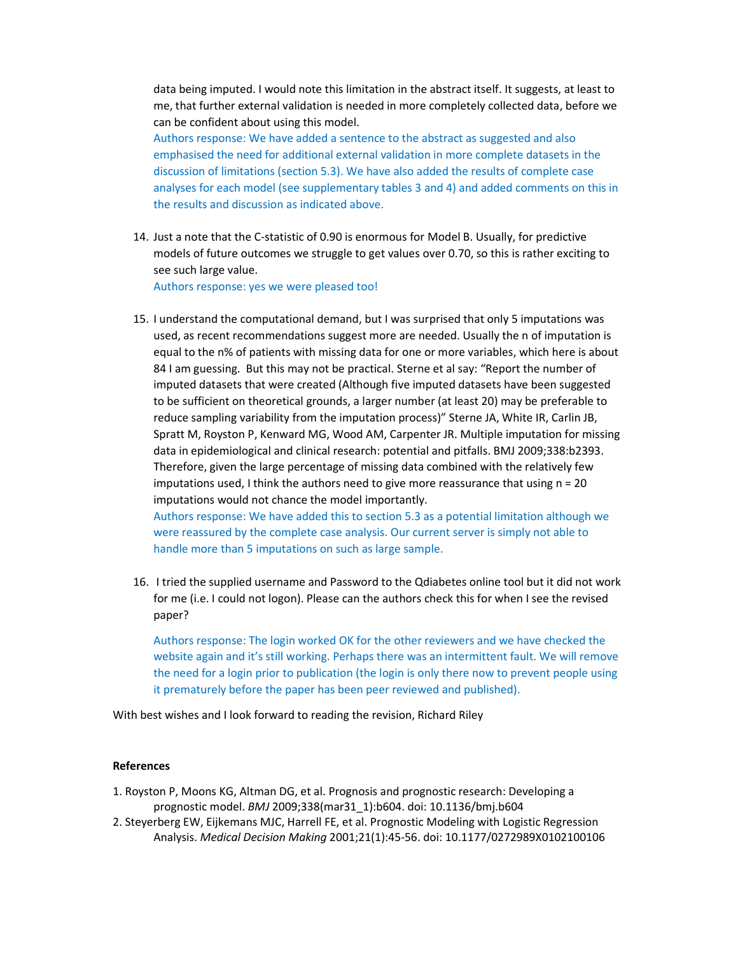data being imputed. I would note this limitation in the abstract itself. It suggests, at least to me, that further external validation is needed in more completely collected data, before we can be confident about using this model.

Authors response: We have added a sentence to the abstract as suggested and also emphasised the need for additional external validation in more complete datasets in the discussion of limitations (section 5.3). We have also added the results of complete case analyses for each model (see supplementary tables 3 and 4) and added comments on this in the results and discussion as indicated above.

14. Just a note that the C-statistic of 0.90 is enormous for Model B. Usually, for predictive models of future outcomes we struggle to get values over 0.70, so this is rather exciting to see such large value.

Authors response: yes we were pleased too!

15. I understand the computational demand, but I was surprised that only 5 imputations was used, as recent recommendations suggest more are needed. Usually the n of imputation is equal to the n% of patients with missing data for one or more variables, which here is about 84 I am guessing. But this may not be practical. Sterne et al say: "Report the number of imputed datasets that were created (Although five imputed datasets have been suggested to be sufficient on theoretical grounds, a larger number (at least 20) may be preferable to reduce sampling variability from the imputation process)" Sterne JA, White IR, Carlin JB, Spratt M, Royston P, Kenward MG, Wood AM, Carpenter JR. Multiple imputation for missing data in epidemiological and clinical research: potential and pitfalls. BMJ 2009;338:b2393. Therefore, given the large percentage of missing data combined with the relatively few imputations used, I think the authors need to give more reassurance that using  $n = 20$ imputations would not chance the model importantly.

Authors response: We have added this to section 5.3 as a potential limitation although we were reassured by the complete case analysis. Our current server is simply not able to handle more than 5 imputations on such as large sample.

16. I tried the supplied username and Password to the Qdiabetes online tool but it did not work for me (i.e. I could not logon). Please can the authors check this for when I see the revised paper?

Authors response: The login worked OK for the other reviewers and we have checked the website again and it's still working. Perhaps there was an intermittent fault. We will remove the need for a login prior to publication (the login is only there now to prevent people using it prematurely before the paper has been peer reviewed and published).

With best wishes and I look forward to reading the revision, Richard Riley

## **References**

- 1. Royston P, Moons KG, Altman DG, et al. Prognosis and prognostic research: Developing a prognostic model. *BMJ* 2009;338(mar31\_1):b604. doi: 10.1136/bmj.b604
- 2. Steyerberg EW, Eijkemans MJC, Harrell FE, et al. Prognostic Modeling with Logistic Regression Analysis. *Medical Decision Making* 2001;21(1):45-56. doi: 10.1177/0272989X0102100106